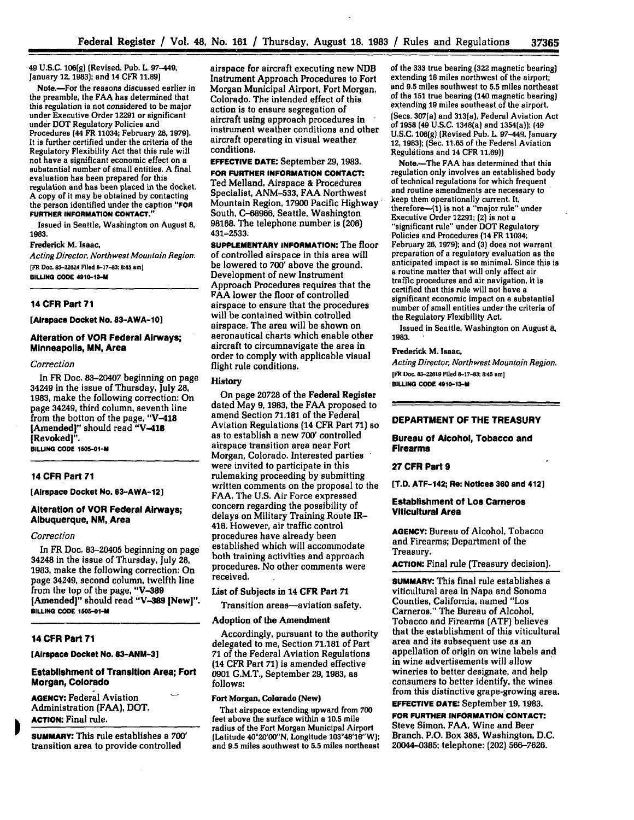49 **U.S.C. 106(g)** (Revised, Pub. **L.** 97-449, January **12,1983);** and 14 CFR **11.89)**

Note.-For the reasons discussed earlier in the preamble, the FAA has determined that this regulation is not considered to be major under Executive Order 12291 or significant under DOT Regulatory Policies and Procedures (44 FR 11034; February **26, 1979).** It is further certified under the criteria of the Regulatory Flexibility Act that this rule will not have a significant economic effect on a substantial number of small entities. A final evaluation has been prepared for this regulation and has been placed in the docket. A copy of it may be obtained by contacting the person identified under the caption **"FOR FURTHER INFORMATION CONTACT."**

Issued in Seattle, Washington on August **8,** 1983.

#### Frederick M. Isaac,

*Acting Director, Northwest Mountain Region.* **[FR Doc. 83-22624 Filed 8-17-83; &45 am] BILLING CODE 4910-13-**

## **14 CFR Part 71**

**[Airspace Docket No. 03-AWA-10]**

## **Alteration of VOR Federal Airways; Minneapolis, MN, Area**

#### *Correction*

In FR Doc. 83-20407 beginning on page 34249 in the issue of Thursday, July **28, 1983,** make the following correction: On page 34249, third column, seventh line from the botton of the page, "V-418 [Amended]" should read **"V-418** [Revoked]".

**BILLING CODE 15OS-01-M**

## **14 CFR Part 71**

**[Airspace Docket No. 83-AWA-12]**

## **Alteration of VOR Federal Airways; Albuquerque, NM, Area**

#### *Correction*

In FR Doc. 83-20405 beginning on page 34248 in the issue of Thursday, July 28, **1983,** make the following correction: On page 34249, second column, twelfth line from the top of the page, **"V-389** [Amended]" should read **"V-389** [New]". **BILLING CODE 1505-01-M** 

## **14 CFR Part 71**

**[Airspace Docket No. 83-ANM-3]**

## **Establishment of Transition Area; Fort Morgan, Colorado**

**AGENCY:** Federal Aviation Administration **(FAA),** DOT. **ACTION:** Final rule.

**SUMMARY:** This rule establishes a **700'** transition area to provide controlled

airspace for aircraft executing new **NDB** Instrument Approach Procedures to Fort Morgan Municipal Airport, Fort Morgan, Colorado. The intended effect of this action is to ensure segregation of aircraft using approach procedures in instrument weather conditions and other aircraft operating in visual weather conditions.

# **EFFECTIVE DATE:** September **29, 1983.**

**FOR FURTHER INFORMATION CONTACT.** Ted Melland, Airspace **&** Procedures Specialist, ANM-533, FAA Northwest Mountain Region, **17900** Pacific Highway South, C-68966, Seattle, Washington 98168. The telephone number is **(206)** 431-2533.

**SUPPLEMENTARY INFORMATION:** The **floor** of controlled airspace in this area will be lowered to **700'** above the ground. Development of new Instrument Approach Procedures requires that the FAA lower the floor of controlled airspace to ensure that the procedures will be contained within cotrolled airspace. The area will be shown on aeronautical charts which enable other aircraft to circumnavigate the area in order to comply with applicable visual flight rule conditions.

#### **History**

On page 20728 of the Federal Register dated May **9, 1983,** the **FAA** proposed to amend Section **71,181** of the Federal Aviation Regulations (14 CFR Part **71) so** as to establish a new 700' controlled airspace transition area near Fort Morgan, Colorado. Interested parties were invited to participate in this rulemaking proceeding **by** submitting written comments on the proposal to the **FAA.** The **U.S.** Air Force expressed concern regarding the possibility of delays on Military Training Route IR-416. However, air traffic control procedures have already been established which will accommodate both training activities and approach procedures. No other comments were received.

# List **of Subjects in 14 CFR Part 71**

Transition areas-aviation safety.

#### Adoption of the Amendment

Accordingly, pursuant to the authority delegated to me, Section **71.181** of Part 71 of the Federal Aviation Regulations (14 CFR Part **71)** is amended effective **0901** G.M.T, September **29, 1983,** as **follows:**

#### **Fort Morgan, Colorado (New)**

That **airspace** extending upward from **700** feet above the surface within a **10.5** mile radius of the Fort Morgan Municipal Airport (Latitude 40°20'00"N, Longitude 103\*48'16"W); and **9.5** miles southwest to **5.5** miles northeast of the **333** true bearing **(322** magnetic bearing) extending **18** miles northwest of the airport; and **9.5** miles southwest to **5.5** miles northeast of the **151** true bearing (140 magnetic bearing) extending **19** miles southeast of the airport. (Secs. 307(a) and 313(a), Federal Aviation Act of **1958 (49 U.S.C. 1348(a)** and **1354(a)); (49** U.S.C. 106(g) (Revised Pub. L. 97-449, January 12, **1983);** (Sec. 11.65 of the Federal Aviation Regulations and 14 CFR **11.69))**

Note.-The FAA has determined that this regulation only involves an established body of technical regulations for which frequent and routine amendments are necessary to keep them operationally current. It, therefore-41) is not a "major rule" under Executive Order 12291; (2) is not a<br>"significant rule" under DOT Regulatory Policies and Procedures (14 FR 11034; February **26, 1979);** and **(3)** does not warrant preparation of a regulatory evaluation as the anticipated impact is so minimal. Since this is a routine matter that will only affect air traffic procedures and air navigation, it is certified that this rule will not have a significant economic impact on a substantial number of small entities under the criteria of the Regulatory Flexibility Act.

Issued in Seattle, Washington on August **8, 1983.**

## **Frederick M.** Isaac,

*Acting Director, Northwest Mountain Region.* **[FR Doc. 83-22619 Filed 8-17-3; 8:45 am] BILLING CODE 4910-13-M**

# **DEPARTMENT OF THE TREASURY**

**Bureau of Alcohol, Tobacco and Firearms**

#### **27 CFR Part 9**

**[T.D. ATF-142; Re: Notices 360 and 412]**

#### **Establishment of Los Carneros Viticultural Area**

**AGENCY:** Bureau of Alcohol, Tobacco and Firearms; Department of the Treasury.

**ACTION:** Final rule (Treasury decision).

**SUMMARY:** This final rule establishes a viticultural area in Napa and Sonoma Counties, California, named "Los Carneros." The Bureau of Alcohol, Tobacco and Firearms **(ATF)** believes that the establishment of this viticultural area and its subsequent use as an appellation of origin on wine labels and in wine advertisements will allow wineries to better designate, and help consumers to better identify, the wines from this distinctive grape-growing area.

**EFFECTIVE DATE:** September **19, 1983. FOR FURTHER INFORMATION CONTACT:** Steve Simon, FAA, Wine and Beer Branch, P.O. Box **385,** Washington, **D.C.** 20044-0385; telephone: (202) 566-7626.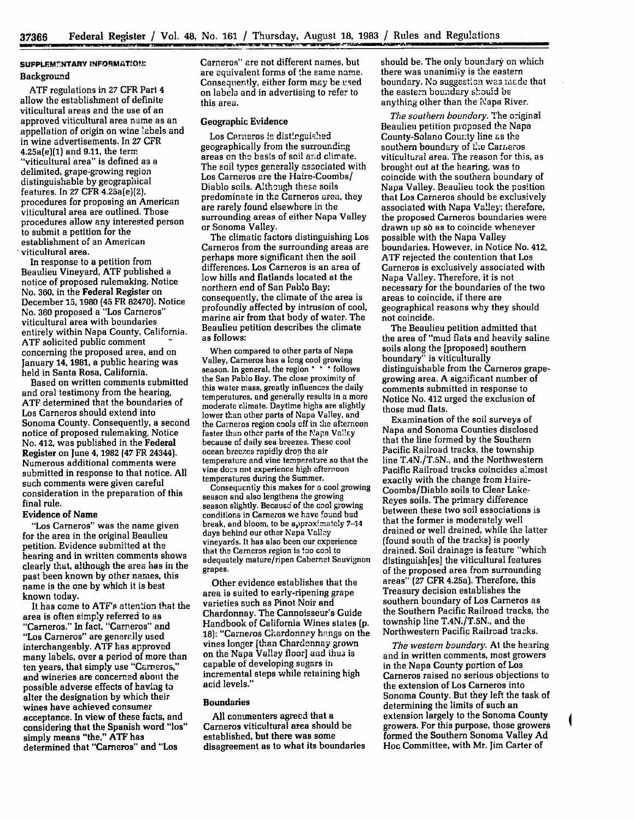# **SUPPLEM7NTARY INFORMATO!.,:** Background

**ATF** regulations in 27 CFR Part 4 allow the establishment of definite viticultural areas and the use of an approved viticultural area name as an appellation of origin on wine labels and in wine advertisements. In 27 CFR 4.25a(e)(1) and 9.11, the term "viticultural area" is defined as a delimited, grape-growing region distinguishable by geographical features. In 27 CFR 4.25a(e)(2), procedures for proposing an American viticultural area are outlined. Those procedures allow any interested person to submit a petition for the establishment of an American viticultural area.

In response to a petition from Beaulieu Vineyard, **ATF** published a notice of proposed rulemaking, Notice No. **360,** in the Federal Register on December **15,** 1980 (45 FR 82470). Notice No. **360** proposed a "Los Carneros" viticultural area with boundaries entirely within Napa County, California. **ATF** solicited public comment concerning the proposed area, and on January 14, 1981, a public hearing was held in Santa Rosa, California.

Based on written comments submitted and oral testimony from the hearing, ATF determined that the boundaries of Los Carneros should extend into Sonoma County. Consequently, a second notice of proposed rulemaking, Notice No. 412, was published in the Federal Register on June 4, 1982 (47 FR 24344). Numerous additional comments were submitted in response to that notice. All such comments were given careful consideration in the preparation of this final rule.

## Evidence of Name

"Los Carneros" was the name given for the area in the original Beaulieu petition. Evidence submitted at the hearing and in written comments shows clearly that, although the area has in the past been known **by** other names, this name is the one by which it is best known today.

It has come to ATF's attention that the area is often simply referred to as "Carneros." In fact, "Carreros" and "Los Carneros" are generally used interchangeably. **ATF** has approved many labels, over a period of more than ten years, that simply use "Carneros," and wineries are concerned about the possible adverse effects of having to alter the designation by which their wines have achieved consumer acceptance. In view **of** these facts, and considering that the Spanish word "los" simply means "the," **ATF** has determined that "Carneros" and "Los

Carneros" are not different names, but are equivalent forms of the same name. Consequently, either form may be used on labels and in advertising to refer to this area.

# Geographic Evidence

Los Carneros is distinguished geographically from the surrounding areas on the basis of soil and climate. The soil types generally associated with Los Carneros are the Haire-Coombs/ Diablo soils. Although these soils predominate in the Carneros area, they are rarely found elsewhere in the surrounding areas of either Napa Valley or Sonoma Valley.

The climatic factors distinguishing Los Carneros from the surrounding areas are perhaps more significant then the soil differences. Los Carneros is an area of low hills and flatlands located at the northern end of San Pablo Bay; consequently, the climate of the area is profoundly affected **by** intrusion of cool, marine air from that body of water. The Beaulieu petition describes the climate as follows:

When compared to other parts of Napa Valley, Carneros has a long cool growing season. In general, the region \* \* \* follows the San Pablo Bay. The close proximity of this water mass, greatly influences the daily temperatures, and generally results in a more moderate climate. Daytime highs are slightly lower than other parts of Napa Valley, and the Carneros region cools off in the afternoon faster than other parts of the Napa Valley because of daily sea breezes. These cool ocean breezes rapidly drop the air temperature and vine temperature so that the vine docs not experience high afternoon temperatures during the Summer.

Consequently this makes for a cool growing season and also lengthens the growing season slightly. Because of the cool growing conditions in Carneros we have found bud break, and bloom, to be approximately 7-14 days behind our other Napa Valley vineyards. It has also been our experience that the Carneros region is too cool to adequately mature/ripen Cabernet Sauvignon grapes.

Other evidence establishes that the area is suited to early-ripening grape varieties such as Pinot Noir and Chardonnay. The Cannoisseur's Guide Handbook of California Wines states **(p.** 18): "Carneros Chardonnay hangs on the vines longer [than Chardonnay grown on the Napa Valley floor] and thus is capable of developing sugars in incremental steps while retaining high acid levels."

#### Boundaries

All commenters agreed that a Carneros viticultural area should be established, but there was some disagreement as to what its boundaries should be. The only boundary on which there was unanimiiy is the eastern boundary. No suggestion was made that the eastern boundary should be anything other than the Napa River.

*The southern boundary.* The original Beaulieu petition proposed the Napa County-Solano County line as **the** southern boundary of the Carneros viticultural area. The reason for this, as brought out at the hearing, was to coincide with the southern boundary of Napa Valley. Beaulieu took the position that Los Carneros should be exclusively associated with Napa Valley; therefore, the proposed Carneros boundaries were drawn up so as to coincide whenever possible with the Napa Valley boundaries. However, in Notice No. 412, **ATF** rejected the contention that Los Carneros is exclusively associated with Napa Valley. Therefore, it is not necessary for the boundaries of the two areas to coincide, if there are geographical reasons why they should not coincide.

The Beaulieu petition admitted that the area of "mud flats and heavily saline soils along the [proposed] southern boundary" is viticulturally distinguishable from the Carneros grapegrowing area. A significant number of comments submitted in response to Notice No. 412 urged the exclusion of those mud flats.

Examination of the soil surveys of Napa and Sonoma Counties disclosed that the line formed **by** the Southern Pacific Railroad tracks, the township line **T.4N./T.5N.,** and the Northwestern Pacific Railroad tracks coincides almost exactly with the change from Haire-Coombs/Diablo soils to Clear Lake-Reyes soils. The primary difference between these two soil associations is that the former is moderately well drained or well drained, while the latter (found south of the tracks) is poorly drained. Soil drainage is feature "which distinguishles] the viticultural features of the proposed area from surrounding areas" **(27** CFR 4.25a). Therefore, this Treasury decision establishes the southern boundary of Los Cameros as the Southern Pacific Railroad tracks, the township line T.4N./T.5N., and the Northwestern Pacific Railroad tracks.

*The western boundary.* At the hearing and in written comments, most growers in the Napa County portion of Los Carneros raised no serious objections to the extension of Los Carneros into Sonoma County. But they left the task of determining the limits of such an extension largely to the Sonoma County growers. For this purpose, those growers formed the Southern Sonoma Valley **Ad** Hoc Committee, with Mr. Jim Carter of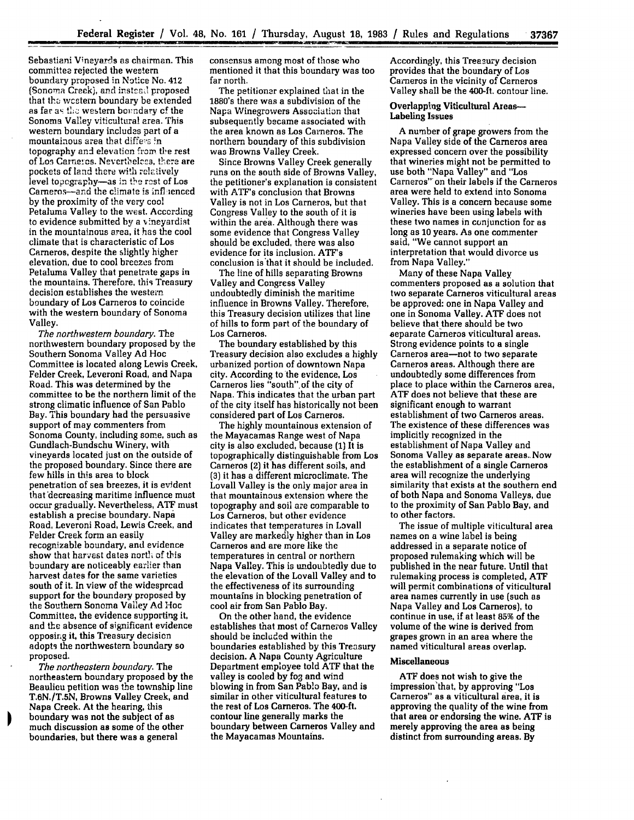Sebastiani Vineyards as chairman. This committee rejected the western boundary proposed in Notice No. **412** (Sonoma Creek), and instead proposed that the western boundary be extended as far as the western boundary of the Sonoma Valley viticultural area. This western boundary includes part of a mountainous area that differs in topography and elevation from the rest of Los Carneros. Nevertheless, there are pockets of land there with relatively level topegraphy-as in the rest of Los Carneros--and the climate is influenced by the proximity of the very coo! Petaluma Valley to the west. According to evidence submitted by a vineyardist in the mountainous area, it has the cool climate that is characteristic of Los Carneros, despite the slightly higher elevation, due to cool breezes from Petaluma Valley that penetrate gaps in the mountains. Therefore, this Treasury decision establishes the western boundary of Los Carneros to coincide with the western boundary of Sonoma Valley.

*The northwestern boundary.* The northwestern boundary proposed by the Southern Sonoma Valley **Ad** Hoc Committee is located along Lewis Creek, Felder Creek, Leveroni Road, and Napa Road. This was determined **by** the committee to be the northern limit of the strong climatic influence of San Pablo Bay. This boundary had the persuasive support of may commenters from Sonoma County, including some, such as Gundlach-Bundschu Winery, with vineyards located just on the outside of the proposed boundary. Since there are few hills in this area to block penetration of sea breezes, it is evident that decreasing maritime influence must occur gradually. Nevertheless, ATF must establish a precise boundary. Napa Road, Leveroni Road, Lewis Creek, and Felder Creek form an easily recognizable boundary, and evidence show that harvest dates north of this boundary are noticeably earlier than harvest dates for the same varieties south of it. In view of the widespread support for the boundary proposed by the Southern Sonoma Valley Ad Hoc Committee, the evidence supporting it, and the absence of significant evidence opposing it, this Treasury decision adopts the northwestern boundary so proposed.

*The northeastern boundary.* The northeastern boundary proposed **by** the Beaulieu petition was the township line **T.6N./T.5N,** Browns Valley Creek, and Napa Creek. At the hearing, this boundary was not the subject of as much discussion as some of the other boundaries, but there was a general

consensus among most of those who mentioned it that this boundary was too far north.

The petitioner explained that in the 1880's there was a subdivision of the Napa Winegrowers Association that subsequently became associated with the area known as Los Carneros. The northern boundary of this subdivision was Browns Valley Creek.

Since Browns Valley Creek generally runs on the south side of Browns Valley, the petitioner's explanation is consistent with ATF's conclusion that Browns Valley is not in Los Cameros, but that Congress Valley to the south of it is within the area. Although there was some evidence that Congress Valley should be excluded, there was also evidence for its inclusion. ATF's conclusion is'that it should be included.

The line of hills separating Browns Valley and Congress Valley undoubtedly diminish the maritime influence in Browns Valley. Therefore, this Treasury decision utilizes that line of hills to form part of the boundary of Los Carneros.

The boundary established by this Treasury decision also excludes a highly urbanized portion of downtown Napa city. According to the evidence, Los Carneros lies "south".of the city of Napa. This indicates that the urban part of the city itself has historically not been considered part of Los Carneros.

The highly mountainous extension of the Mayacamas Range west of Napa city is also excluded, because **(1)** It is topographically distinguishable from Los Carneros (2) it has different soils, and **(3)** it has a different microclimate. The Lovall Valley is the only major area in that mountainous extension where the topography and soil are comparable to Los Carneros, but other evidence indicates that temperatures in Lovall Valley are markedly higher than in Los Cameros and are more like the temperatures in central or northern Napa Valley. This is undoubtedly due to the elevation of the Lovall Valley and to the effectiveness of its surrounding mountains in blocking penetration of cool air from San Pablo Bay.

On the other hand, the evidence establishes that most of Carneros Valley should be included within the boundaries established **by** this Treasury decision. A Naps County Agriculture Department employee told **ATF** that the valley is cooled **by** fog and wind blowing in from San Pablo Bay, and is similar in other viticultural features to the rest of Los Carneros. The 400-ft. contour line generally marks the boundary between Carneros Valley and the Mayacamas Mountains.

Accordingly, this Treasury decision provides that the boundary of Los Carneros in the vicinity of Carneros Valley shall be the 400-ft. contour line.

#### Overlapping Viticultural Areas-Labeling Issues

A number of grape growers from the Napa Valley side of the Carneros area expressed concern over the possibility that wineries might not be permitted to use both "Napa Valley" and "Los Carneros" on their labels if the Carneros area were held to extend into Sonoma Valley. This is a concern because some wineries have been using labels with these two names in conjunction for as long as 10 years. As one commenter<br>said, "We cannot support an interpretation that would divorce us from Napa Valley."

Many of these Napa Valley commenters proposed as a solution that two separate Carneros viticultural areas be approved: one in Napa Valley and one in Sonoma Valley. ATF does not believe that there should be two separate Cameros viticultural areas. Strong evidence points to a single Carneros area-not to two separate Carneros areas. Although there are undoubtedly some differences from place to place within the Carneros area, ATF does not believe that these are significant enough to warrant establishment of two Carneros areas. The existence of these differences was implicitly recognized in the establishment of Naps Valley and Sonoma Valley as separate areas.. Now the establishment of a single Carneros area will recognize the underlying similarity that exists at the southern end of both Naps and Sonoma Valleys, due to the proximity of San Pablo Bay, and to other factors.

The issue of multiple viticultural area names on a wine label is being addressed in a separate notice of proposed rulemaking which will be published in the near future. Until that rulemaking process is completed, ATF will permit combinations of viticultural area names currently in use (such as Napa Valley and Los Carneros), to continue in use, if at least **85%** of the volume of the wine is derived from grapes grown in an area where the named viticultural areas overlap.

## Miscellaneous

ATF does not wish to give the impression'that, by approving "Los Carneros" as a viticultural area, it is approving the quality of the wine from that area or endorsing the wine, ATF is merely approving the area as being distinct from surrounding areas. **By**